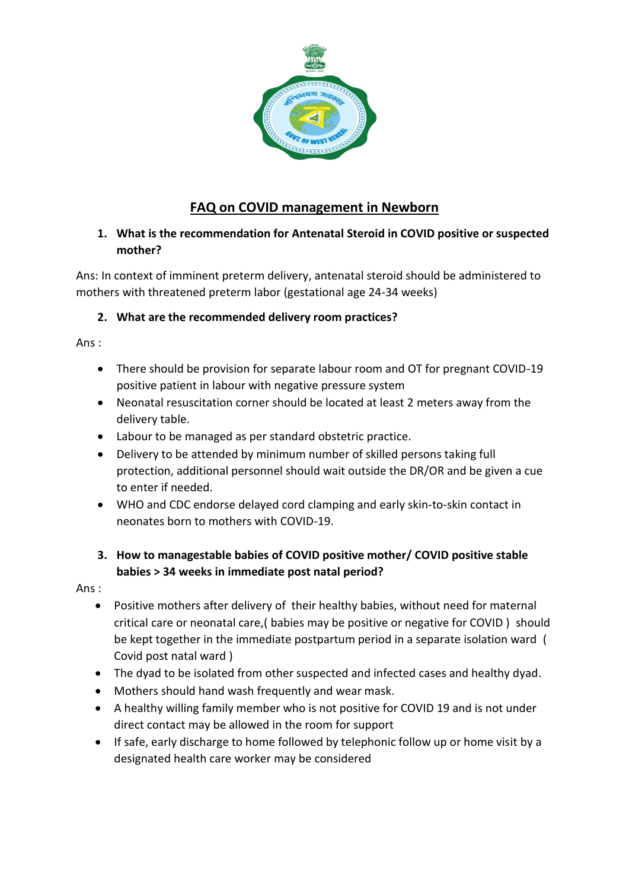

## **FAQ on COVID management in Newborn**

## **1. What is the recommendation for Antenatal Steroid in COVID positive or suspected mother?**

Ans: In context of imminent preterm delivery, antenatal steroid should be administered to mothers with threatened preterm labor (gestational age 24-34 weeks)

## **2. What are the recommended delivery room practices?**

Ans :

- There should be provision for separate labour room and OT for pregnant COVID-19 positive patient in labour with negative pressure system
- Neonatal resuscitation corner should be located at least 2 meters away from the delivery table.
- Labour to be managed as per standard obstetric practice.
- Delivery to be attended by minimum number of skilled persons taking full protection, additional personnel should wait outside the DR/OR and be given a cue to enter if needed.
- WHO and CDC endorse delayed cord clamping and early skin-to-skin contact in neonates born to mothers with COVID-19.

## **3. How to managestable babies of COVID positive mother/ COVID positive stable babies > 34 weeks in immediate post natal period?**

Ans :

- Positive mothers after delivery of their healthy babies, without need for maternal critical care or neonatal care,( babies may be positive or negative for COVID ) should be kept together in the immediate postpartum period in a separate isolation ward ( Covid post natal ward )
- The dyad to be isolated from other suspected and infected cases and healthy dyad.
- Mothers should hand wash frequently and wear mask.
- A healthy willing family member who is not positive for COVID 19 and is not under direct contact may be allowed in the room for support
- If safe, early discharge to home followed by telephonic follow up or home visit by a designated health care worker may be considered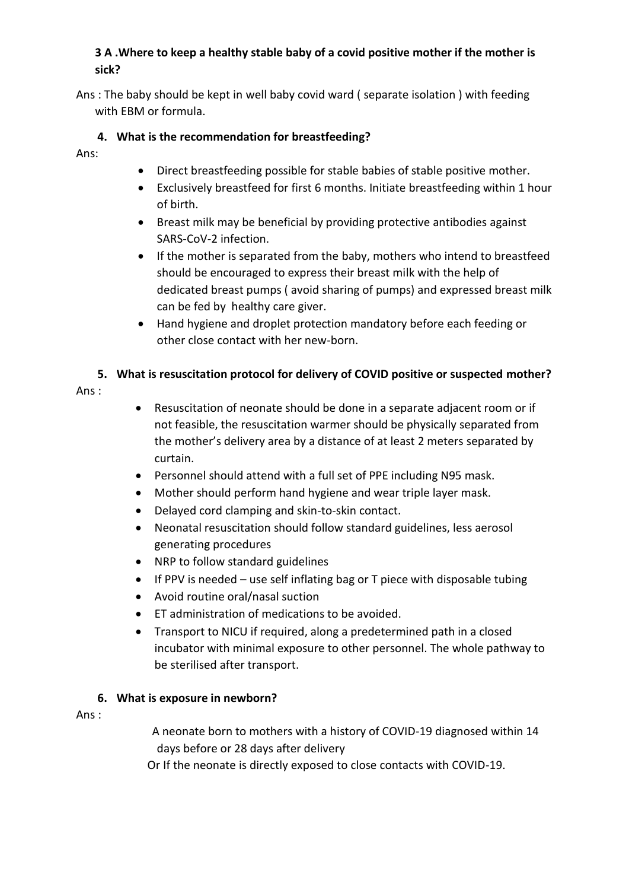## **3 A .Where to keep a healthy stable baby of a covid positive mother if the mother is sick?**

Ans : The baby should be kept in well baby covid ward ( separate isolation ) with feeding with EBM or formula.

## **4. What is the recommendation for breastfeeding?**

Ans:

- Direct breastfeeding possible for stable babies of stable positive mother.
- Exclusively breastfeed for first 6 months. Initiate breastfeeding within 1 hour of birth.
- Breast milk may be beneficial by providing protective antibodies against SARS-CoV-2 infection.
- If the mother is separated from the baby, mothers who intend to breastfeed should be encouraged to express their breast milk with the help of dedicated breast pumps ( avoid sharing of pumps) and expressed breast milk can be fed by healthy care giver.
- Hand hygiene and droplet protection mandatory before each feeding or other close contact with her new-born.

## **5. What is resuscitation protocol for delivery of COVID positive or suspected mother?**

Ans :

- Resuscitation of neonate should be done in a separate adjacent room or if not feasible, the resuscitation warmer should be physically separated from the mother's delivery area by a distance of at least 2 meters separated by curtain.
- Personnel should attend with a full set of PPE including N95 mask.
- Mother should perform hand hygiene and wear triple layer mask.
- Delayed cord clamping and skin-to-skin contact.
- Neonatal resuscitation should follow standard guidelines, less aerosol generating procedures
- NRP to follow standard guidelines
- If PPV is needed use self inflating bag or T piece with disposable tubing
- Avoid routine oral/nasal suction
- ET administration of medications to be avoided.
- Transport to NICU if required, along a predetermined path in a closed incubator with minimal exposure to other personnel. The whole pathway to be sterilised after transport.

#### **6. What is exposure in newborn?**

Ans :

A neonate born to mothers with a history of COVID-19 diagnosed within 14 days before or 28 days after delivery

Or If the neonate is directly exposed to close contacts with COVID-19.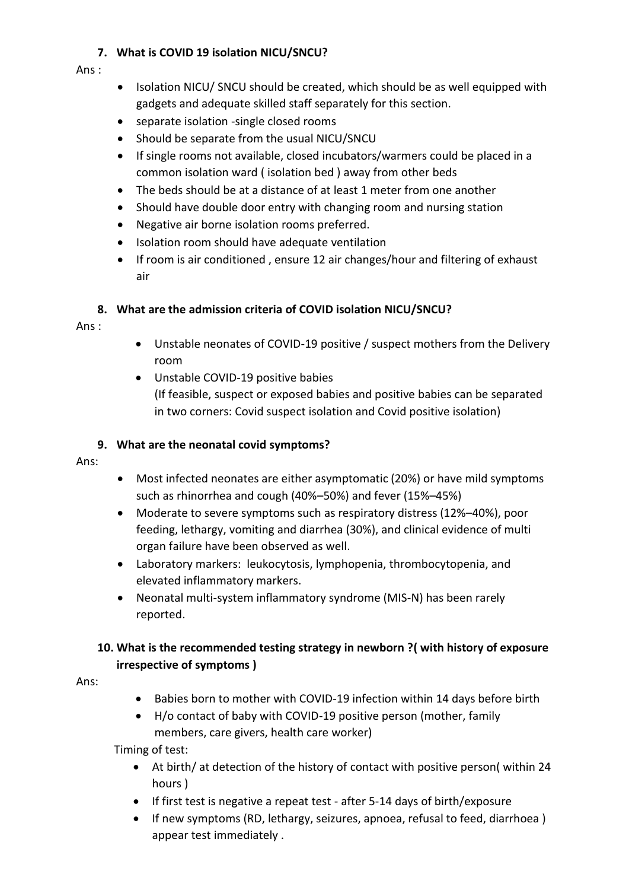## **7. What is COVID 19 isolation NICU/SNCU?**

#### Ans :

- Isolation NICU/ SNCU should be created, which should be as well equipped with gadgets and adequate skilled staff separately for this section.
- separate isolation -single closed rooms
- Should be separate from the usual NICU/SNCU
- If single rooms not available, closed incubators/warmers could be placed in a common isolation ward ( isolation bed ) away from other beds
- The beds should be at a distance of at least 1 meter from one another
- Should have double door entry with changing room and nursing station
- Negative air borne isolation rooms preferred.
- Isolation room should have adequate ventilation
- If room is air conditioned, ensure 12 air changes/hour and filtering of exhaust air

## **8. What are the admission criteria of COVID isolation NICU/SNCU?**

Ans :

- Unstable neonates of COVID-19 positive / suspect mothers from the Delivery room
- Unstable COVID-19 positive babies (If feasible, suspect or exposed babies and positive babies can be separated in two corners: Covid suspect isolation and Covid positive isolation)

## **9. What are the neonatal covid symptoms?**

- Ans:
- Most infected neonates are either asymptomatic (20%) or have mild symptoms such as rhinorrhea and cough (40%–50%) and fever (15%–45%)
- Moderate to severe symptoms such as respiratory distress (12%–40%), poor feeding, lethargy, vomiting and diarrhea (30%), and clinical evidence of multi organ failure have been observed as well.
- Laboratory markers: leukocytosis, lymphopenia, thrombocytopenia, and elevated inflammatory markers.
- Neonatal multi-system inflammatory syndrome (MIS-N) has been rarely reported.

## **10. What is the recommended testing strategy in newborn ?( with history of exposure irrespective of symptoms )**

Ans:

- Babies born to mother with COVID-19 infection within 14 days before birth
- H/o contact of baby with COVID-19 positive person (mother, family members, care givers, health care worker)

Timing of test:

- At birth/ at detection of the history of contact with positive person( within 24 hours )
- If first test is negative a repeat test after 5-14 days of birth/exposure
- If new symptoms (RD, lethargy, seizures, apnoea, refusal to feed, diarrhoea) appear test immediately .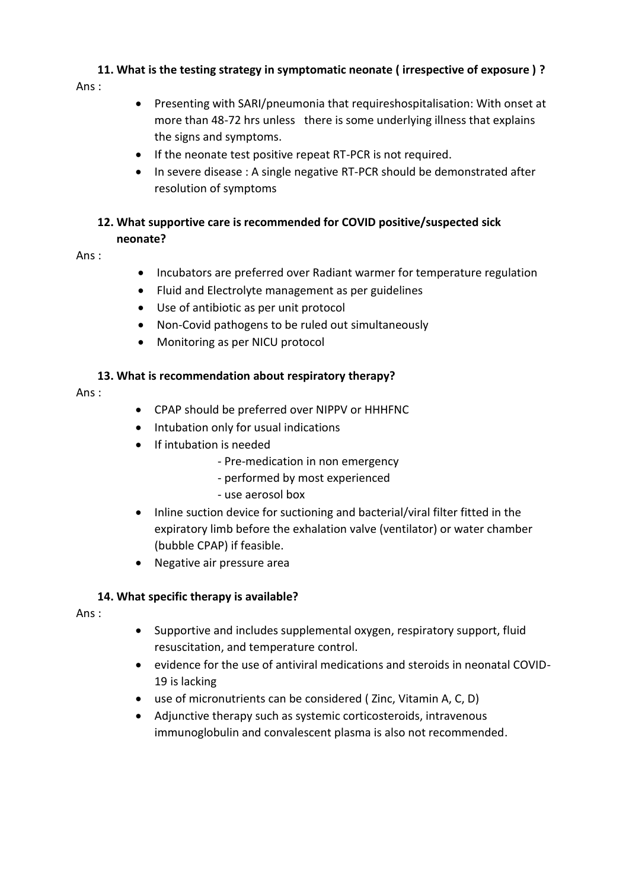# **11. What is the testing strategy in symptomatic neonate ( irrespective of exposure ) ?**

Ans :

- Presenting with SARI/pneumonia that requireshospitalisation: With onset at more than 48-72 hrs unless there is some underlying illness that explains the signs and symptoms.
- If the neonate test positive repeat RT-PCR is not required.
- In severe disease : A single negative RT-PCR should be demonstrated after resolution of symptoms

## **12. What supportive care is recommended for COVID positive/suspected sick**

## **neonate?**

Ans :

- Incubators are preferred over Radiant warmer for temperature regulation
- Fluid and Electrolyte management as per guidelines
- Use of antibiotic as per unit protocol
- Non-Covid pathogens to be ruled out simultaneously
- Monitoring as per NICU protocol

## **13. What is recommendation about respiratory therapy?**

Ans :

- CPAP should be preferred over NIPPV or HHHFNC
- Intubation only for usual indications
- If intubation is needed
	- Pre-medication in non emergency
	- performed by most experienced
	- use aerosol box
- Inline suction device for suctioning and bacterial/viral filter fitted in the expiratory limb before the exhalation valve (ventilator) or water chamber (bubble CPAP) if feasible.
- Negative air pressure area

## **14. What specific therapy is available?**

Ans :

- Supportive and includes supplemental oxygen, respiratory support, fluid resuscitation, and temperature control.
- evidence for the use of antiviral medications and steroids in neonatal COVID-19 is lacking
- use of micronutrients can be considered ( Zinc, Vitamin A, C, D)
- Adjunctive therapy such as systemic corticosteroids, intravenous immunoglobulin and convalescent plasma is also not recommended.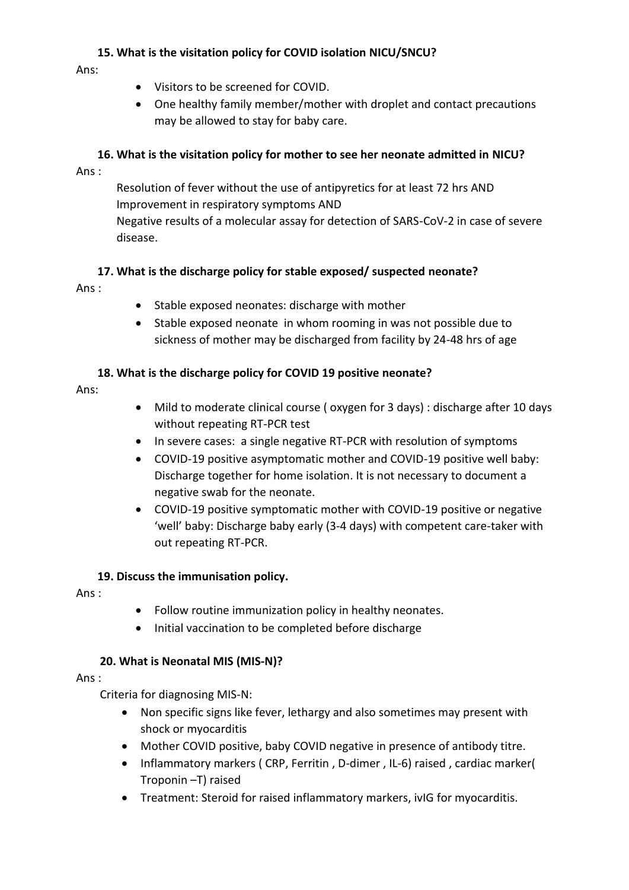## **15. What is the visitation policy for COVID isolation NICU/SNCU?**

Ans:

- Visitors to be screened for COVID.
- One healthy family member/mother with droplet and contact precautions may be allowed to stay for baby care.

## **16. What is the visitation policy for mother to see her neonate admitted in NICU?**

Ans :

Resolution of fever without the use of antipyretics for at least 72 hrs AND Improvement in respiratory symptoms AND Negative results of a molecular assay for detection of SARS-CoV-2 in case of severe disease.

## **17. What is the discharge policy for stable exposed/ suspected neonate?**

Ans :

- Stable exposed neonates: discharge with mother
- Stable exposed neonate in whom rooming in was not possible due to sickness of mother may be discharged from facility by 24-48 hrs of age

## **18. What is the discharge policy for COVID 19 positive neonate?**

Ans:

- Mild to moderate clinical course ( oxygen for 3 days) : discharge after 10 days without repeating RT-PCR test
- In severe cases: a single negative RT-PCR with resolution of symptoms
- COVID-19 positive asymptomatic mother and COVID-19 positive well baby: Discharge together for home isolation. It is not necessary to document a negative swab for the neonate.
- COVID-19 positive symptomatic mother with COVID-19 positive or negative 'well' baby: Discharge baby early (3-4 days) with competent care-taker with out repeating RT-PCR.

#### **19. Discuss the immunisation policy.**

Ans :

- Follow routine immunization policy in healthy neonates.
- $\bullet$  Initial vaccination to be completed before discharge

#### **20. What is Neonatal MIS (MIS-N)?**

Ans :

Criteria for diagnosing MIS-N:

- Non specific signs like fever, lethargy and also sometimes may present with shock or myocarditis
- Mother COVID positive, baby COVID negative in presence of antibody titre.
- Inflammatory markers (CRP, Ferritin, D-dimer, IL-6) raised, cardiac marker( Troponin –T) raised
- Treatment: Steroid for raised inflammatory markers, ivIG for myocarditis.